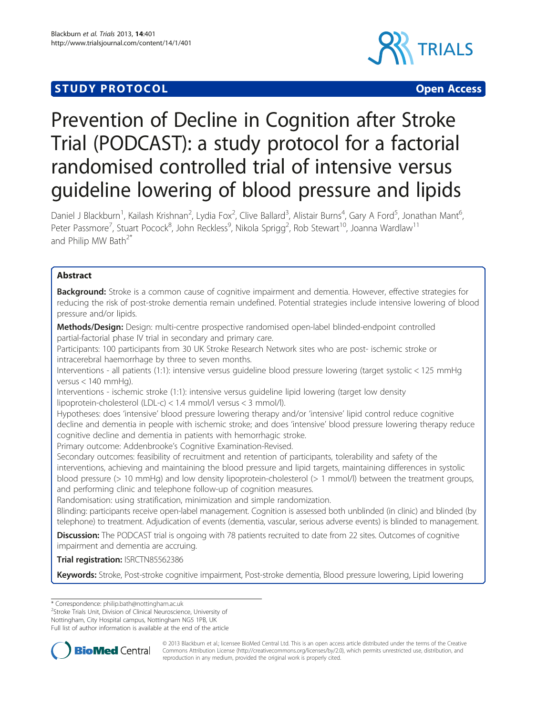# **STUDY PROTOCOL CONSUMING THE CONSUMING OPEN ACCESS**





# Prevention of Decline in Cognition after Stroke Trial (PODCAST): a study protocol for a factorial randomised controlled trial of intensive versus guideline lowering of blood pressure and lipids

Daniel J Blackburn<sup>1</sup>, Kailash Krishnan<sup>2</sup>, Lydia Fox<sup>2</sup>, Clive Ballard<sup>3</sup>, Alistair Burns<sup>4</sup>, Gary A Ford<sup>5</sup>, Jonathan Mant<sup>6</sup> , Peter Passmore<sup>7</sup>, Stuart Pocock<sup>8</sup>, John Reckless<sup>9</sup>, Nikola Sprigg<sup>2</sup>, Rob Stewart<sup>10</sup>, Joanna Wardlaw<sup>11</sup> and Philip MW Bath<sup>2\*</sup>

# Abstract

**Background:** Stroke is a common cause of cognitive impairment and dementia. However, effective strategies for reducing the risk of post-stroke dementia remain undefined. Potential strategies include intensive lowering of blood pressure and/or lipids.

Methods/Design: Design: multi-centre prospective randomised open-label blinded-endpoint controlled partial-factorial phase IV trial in secondary and primary care.

Participants: 100 participants from 30 UK Stroke Research Network sites who are post- ischemic stroke or intracerebral haemorrhage by three to seven months.

Interventions - all patients (1:1): intensive versus guideline blood pressure lowering (target systolic < 125 mmHg versus < 140 mmHg).

Interventions - ischemic stroke (1:1): intensive versus guideline lipid lowering (target low density lipoprotein-cholesterol (LDL-c) < 1.4 mmol/l versus < 3 mmol/l).

Hypotheses: does 'intensive' blood pressure lowering therapy and/or 'intensive' lipid control reduce cognitive decline and dementia in people with ischemic stroke; and does 'intensive' blood pressure lowering therapy reduce cognitive decline and dementia in patients with hemorrhagic stroke.

Primary outcome: Addenbrooke's Cognitive Examination-Revised.

Secondary outcomes: feasibility of recruitment and retention of participants, tolerability and safety of the interventions, achieving and maintaining the blood pressure and lipid targets, maintaining differences in systolic blood pressure (> 10 mmHg) and low density lipoprotein-cholesterol (> 1 mmol/l) between the treatment groups, and performing clinic and telephone follow-up of cognition measures.

Randomisation: using stratification, minimization and simple randomization.

Blinding: participants receive open-label management. Cognition is assessed both unblinded (in clinic) and blinded (by telephone) to treatment. Adjudication of events (dementia, vascular, serious adverse events) is blinded to management.

**Discussion:** The PODCAST trial is ongoing with 78 patients recruited to date from 22 sites. Outcomes of cognitive impairment and dementia are accruing.

Trial registration: [ISRCTN85562386](http://www.controlled-trials.com/ISRCTN85562386)

Keywords: Stroke, Post-stroke cognitive impairment, Post-stroke dementia, Blood pressure lowering, Lipid lowering

<sup>2</sup>Stroke Trials Unit, Division of Clinical Neuroscience, University of

Nottingham, City Hospital campus, Nottingham NG5 1PB, UK

Full list of author information is available at the end of the article



© 2013 Blackburn et al.; licensee BioMed Central Ltd. This is an open access article distributed under the terms of the Creative Bio Med Central Commons Attribution License [\(http://creativecommons.org/licenses/by/2.0\)](http://creativecommons.org/licenses/by/2.0), which permits unrestricted use, distribution, and reproduction in any medium, provided the original work is properly cited.

<sup>\*</sup> Correspondence: [philip.bath@nottingham.ac.uk](mailto:philip.bath@nottingham.ac.uk) <sup>2</sup>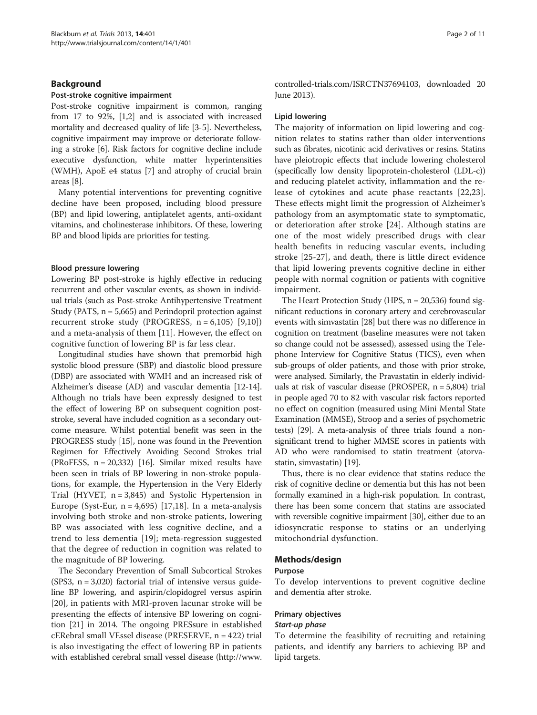### Background

### Post-stroke cognitive impairment

Post-stroke cognitive impairment is common, ranging from 17 to 92%, [\[1,2\]](#page-10-0) and is associated with increased mortality and decreased quality of life [\[3-5](#page-10-0)]. Nevertheless, cognitive impairment may improve or deteriorate following a stroke [\[6](#page-10-0)]. Risk factors for cognitive decline include executive dysfunction, white matter hyperintensities (WMH), ApoE e4 status [[7](#page-10-0)] and atrophy of crucial brain areas [[8](#page-10-0)].

Many potential interventions for preventing cognitive decline have been proposed, including blood pressure (BP) and lipid lowering, antiplatelet agents, anti-oxidant vitamins, and cholinesterase inhibitors. Of these, lowering BP and blood lipids are priorities for testing.

### Blood pressure lowering

Lowering BP post-stroke is highly effective in reducing recurrent and other vascular events, as shown in individual trials (such as Post-stroke Antihypertensive Treatment Study (PATS,  $n = 5,665$ ) and Perindopril protection against recurrent stroke study (PROGRESS,  $n = 6,105$ ) [[9,10](#page-10-0)]) and a meta-analysis of them [[11](#page-10-0)]. However, the effect on cognitive function of lowering BP is far less clear.

Longitudinal studies have shown that premorbid high systolic blood pressure (SBP) and diastolic blood pressure (DBP) are associated with WMH and an increased risk of Alzheimer's disease (AD) and vascular dementia [[12](#page-10-0)-[14](#page-10-0)]. Although no trials have been expressly designed to test the effect of lowering BP on subsequent cognition poststroke, several have included cognition as a secondary outcome measure. Whilst potential benefit was seen in the PROGRESS study [[15](#page-10-0)], none was found in the Prevention Regimen for Effectively Avoiding Second Strokes trial (PRoFESS,  $n = 20,332$ ) [[16](#page-10-0)]. Similar mixed results have been seen in trials of BP lowering in non-stroke populations, for example, the Hypertension in the Very Elderly Trial (HYVET,  $n = 3,845$ ) and Systolic Hypertension in Europe (Syst-Eur,  $n = 4,695$ ) [[17,18](#page-10-0)]. In a meta-analysis involving both stroke and non-stroke patients, lowering BP was associated with less cognitive decline, and a trend to less dementia [[19](#page-10-0)]; meta-regression suggested that the degree of reduction in cognition was related to the magnitude of BP lowering.

The Secondary Prevention of Small Subcortical Strokes (SPS3,  $n = 3,020$ ) factorial trial of intensive versus guideline BP lowering, and aspirin/clopidogrel versus aspirin [[20\]](#page-10-0), in patients with MRI-proven lacunar stroke will be presenting the effects of intensive BP lowering on cognition [\[21\]](#page-10-0) in 2014. The ongoing PRESsure in established cERebral small VEssel disease (PRESERVE, n = 422) trial is also investigating the effect of lowering BP in patients with established cerebral small vessel disease ([http://www.](http://www.controlled-trials.com/ISRCTN37694103) [controlled-trials.com/ISRCTN37694103](http://www.controlled-trials.com/ISRCTN37694103), downloaded 20 June 2013).

### Lipid lowering

The majority of information on lipid lowering and cognition relates to statins rather than older interventions such as fibrates, nicotinic acid derivatives or resins. Statins have pleiotropic effects that include lowering cholesterol (specifically low density lipoprotein-cholesterol (LDL-c)) and reducing platelet activity, inflammation and the release of cytokines and acute phase reactants [[22,23](#page-10-0)]. These effects might limit the progression of Alzheimer's pathology from an asymptomatic state to symptomatic, or deterioration after stroke [[24\]](#page-10-0). Although statins are one of the most widely prescribed drugs with clear health benefits in reducing vascular events, including stroke [\[25](#page-10-0)-[27\]](#page-10-0), and death, there is little direct evidence that lipid lowering prevents cognitive decline in either people with normal cognition or patients with cognitive impairment.

The Heart Protection Study (HPS, n = 20,536) found significant reductions in coronary artery and cerebrovascular events with simvastatin [[28](#page-10-0)] but there was no difference in cognition on treatment (baseline measures were not taken so change could not be assessed), assessed using the Telephone Interview for Cognitive Status (TICS), even when sub-groups of older patients, and those with prior stroke, were analysed. Similarly, the Pravastatin in elderly individuals at risk of vascular disease (PROSPER, n = 5,804) trial in people aged 70 to 82 with vascular risk factors reported no effect on cognition (measured using Mini Mental State Examination (MMSE), Stroop and a series of psychometric tests) [\[29\]](#page-10-0). A meta-analysis of three trials found a nonsignificant trend to higher MMSE scores in patients with AD who were randomised to statin treatment (atorvastatin, simvastatin) [\[19\]](#page-10-0).

Thus, there is no clear evidence that statins reduce the risk of cognitive decline or dementia but this has not been formally examined in a high-risk population. In contrast, there has been some concern that statins are associated with reversible cognitive impairment [\[30\]](#page-10-0), either due to an idiosyncratic response to statins or an underlying mitochondrial dysfunction.

### Methods/design

### Purpose

To develop interventions to prevent cognitive decline and dementia after stroke.

### Primary objectives

### Start-up phase

To determine the feasibility of recruiting and retaining patients, and identify any barriers to achieving BP and lipid targets.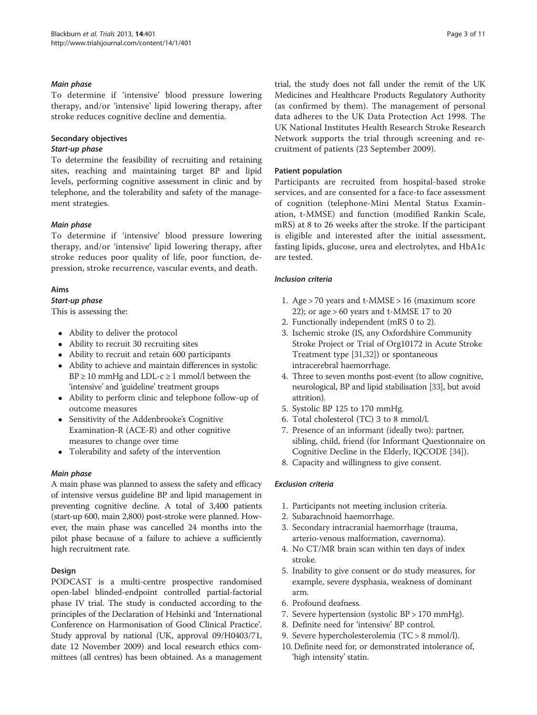### Main phase

To determine if 'intensive' blood pressure lowering therapy, and/or 'intensive' lipid lowering therapy, after stroke reduces cognitive decline and dementia.

### Secondary objectives

### Start-up phase

To determine the feasibility of recruiting and retaining sites, reaching and maintaining target BP and lipid levels, performing cognitive assessment in clinic and by telephone, and the tolerability and safety of the management strategies.

### Main phase

To determine if 'intensive' blood pressure lowering therapy, and/or 'intensive' lipid lowering therapy, after stroke reduces poor quality of life, poor function, depression, stroke recurrence, vascular events, and death.

### Aims

### Start-up phase

This is assessing the:

- Ability to deliver the protocol
- Ability to recruit 30 recruiting sites
- Ability to recruit and retain 600 participants
- Ability to achieve and maintain differences in systolic  $BP \geq 10$  mmHg and LDL-c  $\geq 1$  mmol/l between the 'intensive' and 'guideline' treatment groups
- Ability to perform clinic and telephone follow-up of outcome measures
- Sensitivity of the Addenbrooke's Cognitive Examination-R (ACE-R) and other cognitive measures to change over time
- Tolerability and safety of the intervention

# Main phase

A main phase was planned to assess the safety and efficacy of intensive versus guideline BP and lipid management in preventing cognitive decline. A total of 3,400 patients (start-up 600, main 2,800) post-stroke were planned. However, the main phase was cancelled 24 months into the pilot phase because of a failure to achieve a sufficiently high recruitment rate.

# Design

PODCAST is a multi-centre prospective randomised open-label blinded-endpoint controlled partial-factorial phase IV trial. The study is conducted according to the principles of the Declaration of Helsinki and 'International Conference on Harmonisation of Good Clinical Practice'. Study approval by national (UK, approval 09/H0403/71, date 12 November 2009) and local research ethics committees (all centres) has been obtained. As a management

trial, the study does not fall under the remit of the UK Medicines and Healthcare Products Regulatory Authority (as confirmed by them). The management of personal data adheres to the UK Data Protection Act 1998. The UK National Institutes Health Research Stroke Research Network supports the trial through screening and recruitment of patients (23 September 2009).

# Patient population

Participants are recruited from hospital-based stroke services, and are consented for a face-to face assessment of cognition (telephone-Mini Mental Status Examination, t-MMSE) and function (modified Rankin Scale, mRS) at 8 to 26 weeks after the stroke. If the participant is eligible and interested after the initial assessment, fasting lipids, glucose, urea and electrolytes, and HbA1c are tested.

### Inclusion criteria

- 1. Age > 70 years and t-MMSE > 16 (maximum score 22); or age  $> 60$  years and t-MMSE 17 to 20
- 2. Functionally independent (mRS 0 to 2).
- 3. Ischemic stroke (IS, any Oxfordshire Community Stroke Project or Trial of Org10172 in Acute Stroke Treatment type [\[31,32](#page-10-0)]) or spontaneous intracerebral haemorrhage.
- 4. Three to seven months post-event (to allow cognitive, neurological, BP and lipid stabilisation [\[33\]](#page-10-0), but avoid attrition).
- 5. Systolic BP 125 to 170 mmHg.
- 6. Total cholesterol (TC) 3 to 8 mmol/l.
- 7. Presence of an informant (ideally two): partner, sibling, child, friend (for Informant Questionnaire on Cognitive Decline in the Elderly, IQCODE [[34\]](#page-10-0)).
- 8. Capacity and willingness to give consent.

# Exclusion criteria

- 1. Participants not meeting inclusion criteria.
- 2. Subarachnoid haemorrhage.
- 3. Secondary intracranial haemorrhage (trauma, arterio-venous malformation, cavernoma).
- 4. No CT/MR brain scan within ten days of index stroke.
- 5. Inability to give consent or do study measures, for example, severe dysphasia, weakness of dominant arm.
- 6. Profound deafness.
- 7. Severe hypertension (systolic BP > 170 mmHg).
- 8. Definite need for 'intensive' BP control.
- 9. Severe hypercholesterolemia (TC > 8 mmol/l).
- 10. Definite need for, or demonstrated intolerance of, 'high intensity' statin.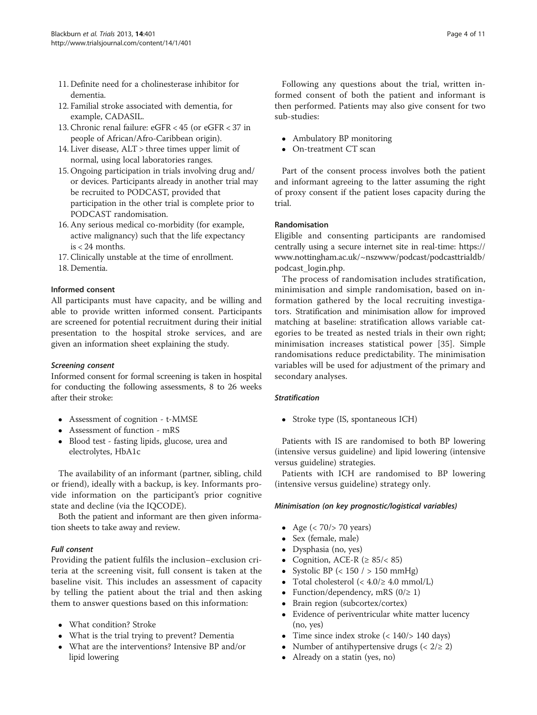- <span id="page-3-0"></span>11. Definite need for a cholinesterase inhibitor for dementia.
- 12. Familial stroke associated with dementia, for example, CADASIL.
- 13. Chronic renal failure: eGFR < 45 (or eGFR < 37 in people of African/Afro-Caribbean origin).
- 14. Liver disease, ALT > three times upper limit of normal, using local laboratories ranges.
- 15. Ongoing participation in trials involving drug and/ or devices. Participants already in another trial may be recruited to PODCAST, provided that participation in the other trial is complete prior to PODCAST randomisation.
- 16. Any serious medical co-morbidity (for example, active malignancy) such that the life expectancy is < 24 months.
- 17. Clinically unstable at the time of enrollment.
- 18. Dementia.

### Informed consent

All participants must have capacity, and be willing and able to provide written informed consent. Participants are screened for potential recruitment during their initial presentation to the hospital stroke services, and are given an information sheet explaining the study.

### Screening consent

Informed consent for formal screening is taken in hospital for conducting the following assessments, 8 to 26 weeks after their stroke:

- Assessment of cognition t-MMSE
- Assessment of function mRS
- Blood test fasting lipids, glucose, urea and electrolytes, HbA1c

The availability of an informant (partner, sibling, child or friend), ideally with a backup, is key. Informants provide information on the participant's prior cognitive state and decline (via the IQCODE).

Both the patient and informant are then given information sheets to take away and review.

# Full consent

Providing the patient fulfils the inclusion–exclusion criteria at the screening visit, full consent is taken at the baseline visit. This includes an assessment of capacity by telling the patient about the trial and then asking them to answer questions based on this information:

- What condition? Stroke
- What is the trial trying to prevent? Dementia
- What are the interventions? Intensive BP and/or lipid lowering

Following any questions about the trial, written informed consent of both the patient and informant is then performed. Patients may also give consent for two sub-studies:

- Ambulatory BP monitoring
- On-treatment CT scan

Part of the consent process involves both the patient and informant agreeing to the latter assuming the right of proxy consent if the patient loses capacity during the trial.

### Randomisation

Eligible and consenting participants are randomised centrally using a secure internet site in real-time: [https://](https://www.nottingham.ac.uk/~nszwww/podcast/podcasttrialdb/podcast_login.php) [www.nottingham.ac.uk/~nszwww/podcast/podcasttrialdb/](https://www.nottingham.ac.uk/~nszwww/podcast/podcasttrialdb/podcast_login.php) [podcast\\_login.php.](https://www.nottingham.ac.uk/~nszwww/podcast/podcasttrialdb/podcast_login.php)

The process of randomisation includes stratification, minimisation and simple randomisation, based on information gathered by the local recruiting investigators. Stratification and minimisation allow for improved matching at baseline: stratification allows variable categories to be treated as nested trials in their own right; minimisation increases statistical power [[35\]](#page-10-0). Simple randomisations reduce predictability. The minimisation variables will be used for adjustment of the primary and secondary analyses.

### **Stratification**

• Stroke type (IS, spontaneous ICH)

Patients with IS are randomised to both BP lowering (intensive versus guideline) and lipid lowering (intensive versus guideline) strategies.

Patients with ICH are randomised to BP lowering (intensive versus guideline) strategy only.

### Minimisation (on key prognostic/logistical variables)

- Age  $(< 70 / > 70$  years)
- Sex (female, male)
- Dysphasia (no, yes)
- Cognition, ACE-R ( $\geq 85$ /< 85)
- Systolic BP (< 150 / > 150 mmHg)
- Total cholesterol  $( $4.0/\geq 4.0$  mmol/L)$
- Function/dependency, mRS  $(0/\geq 1)$
- Brain region (subcortex/cortex)
- Evidence of periventricular white matter lucency (no, yes)
- Time since index stroke  $\left($  < 140 $\right)$  /> 140 days)
- Number of antihypertensive drugs ( $\langle 2/\geq 2 \rangle$
- Already on a statin (yes, no)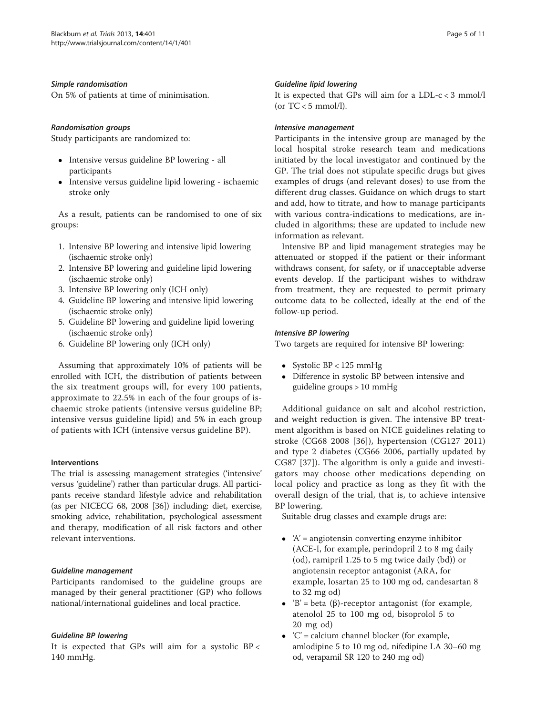### Simple randomisation

On 5% of patients at time of minimisation.

### Randomisation groups

Study participants are randomized to:

- Intensive versus guideline BP lowering all participants
- Intensive versus guideline lipid lowering ischaemic stroke only

As a result, patients can be randomised to one of six groups:

- 1. Intensive BP lowering and intensive lipid lowering (ischaemic stroke only)
- 2. Intensive BP lowering and guideline lipid lowering (ischaemic stroke only)
- 3. Intensive BP lowering only (ICH only)
- 4. Guideline BP lowering and intensive lipid lowering (ischaemic stroke only)
- 5. Guideline BP lowering and guideline lipid lowering (ischaemic stroke only)
- 6. Guideline BP lowering only (ICH only)

Assuming that approximately 10% of patients will be enrolled with ICH, the distribution of patients between the six treatment groups will, for every 100 patients, approximate to 22.5% in each of the four groups of ischaemic stroke patients (intensive versus guideline BP; intensive versus guideline lipid) and 5% in each group of patients with ICH (intensive versus guideline BP).

# Interventions

The trial is assessing management strategies ('intensive' versus 'guideline') rather than particular drugs. All participants receive standard lifestyle advice and rehabilitation (as per NICECG 68, 2008 [\[36\]](#page-10-0)) including: diet, exercise, smoking advice, rehabilitation, psychological assessment and therapy, modification of all risk factors and other relevant interventions.

### Guideline management

Participants randomised to the guideline groups are managed by their general practitioner (GP) who follows national/international guidelines and local practice.

# Guideline BP lowering

It is expected that GPs will aim for a systolic  $BP <$ 140 mmHg.

### Guideline lipid lowering

It is expected that GPs will aim for a LDL-c < 3 mmol/l (or  $TC < 5$  mmol/l).

### Intensive management

Participants in the intensive group are managed by the local hospital stroke research team and medications initiated by the local investigator and continued by the GP. The trial does not stipulate specific drugs but gives examples of drugs (and relevant doses) to use from the different drug classes. Guidance on which drugs to start and add, how to titrate, and how to manage participants with various contra-indications to medications, are included in algorithms; these are updated to include new information as relevant.

Intensive BP and lipid management strategies may be attenuated or stopped if the patient or their informant withdraws consent, for safety, or if unacceptable adverse events develop. If the participant wishes to withdraw from treatment, they are requested to permit primary outcome data to be collected, ideally at the end of the follow-up period.

### Intensive BP lowering

Two targets are required for intensive BP lowering:

- Systolic  $BP < 125$  mmHg
- Difference in systolic BP between intensive and guideline groups > 10 mmHg

Additional guidance on salt and alcohol restriction, and weight reduction is given. The intensive BP treatment algorithm is based on NICE guidelines relating to stroke (CG68 2008 [[36](#page-10-0)]), hypertension (CG127 2011) and type 2 diabetes (CG66 2006, partially updated by CG87 [[37\]](#page-10-0)). The algorithm is only a guide and investigators may choose other medications depending on local policy and practice as long as they fit with the overall design of the trial, that is, to achieve intensive BP lowering.

Suitable drug classes and example drugs are:

- $\bullet$  'A' = angiotensin converting enzyme inhibitor (ACE-I, for example, perindopril 2 to 8 mg daily (od), ramipril 1.25 to 5 mg twice daily (bd)) or angiotensin receptor antagonist (ARA, for example, losartan 25 to 100 mg od, candesartan 8 to 32 mg od)
- 'B' = beta (β)-receptor antagonist (for example, atenolol 25 to 100 mg od, bisoprolol 5 to 20 mg od)
- $\bullet$  'C' = calcium channel blocker (for example, amlodipine 5 to 10 mg od, nifedipine LA 30–60 mg od, verapamil SR 120 to 240 mg od)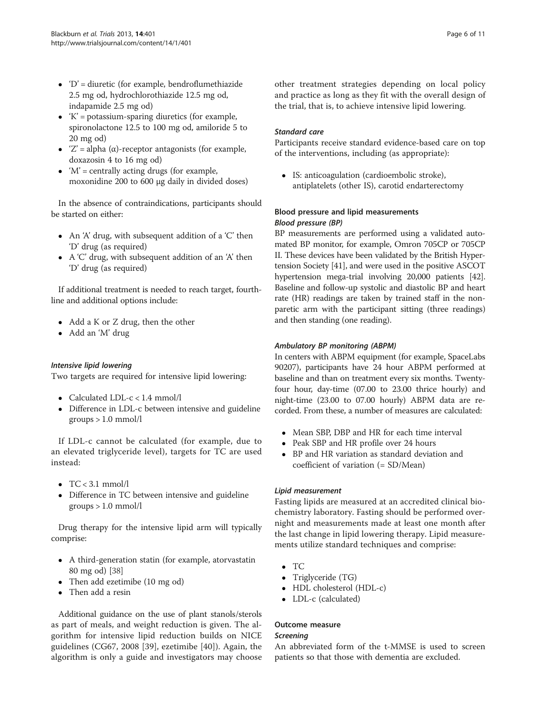- $\bullet$  'D' = diuretic (for example, bendroflumethiazide 2.5 mg od, hydrochlorothiazide 12.5 mg od, indapamide 2.5 mg od)
- $\bullet$  'K' = potassium-sparing diuretics (for example, spironolactone 12.5 to 100 mg od, amiloride 5 to 20 mg od)
- $Z' = alpha (α) receptor antagonists (for example,$ doxazosin 4 to 16 mg od)
- $\bullet$  'M' = centrally acting drugs (for example, moxonidine 200 to 600 μg daily in divided doses)

In the absence of contraindications, participants should be started on either:

- An 'A' drug, with subsequent addition of a 'C' then 'D' drug (as required)
- A 'C' drug, with subsequent addition of an 'A' then 'D' drug (as required)

If additional treatment is needed to reach target, fourthline and additional options include:

- Add a K or Z drug, then the other
- Add an 'M' drug

### Intensive lipid lowering

Two targets are required for intensive lipid lowering:

- Calculated LDL- $c < 1.4$  mmol/l
- Difference in LDL-c between intensive and guideline groups > 1.0 mmol/l

If LDL-c cannot be calculated (for example, due to an elevated triglyceride level), targets for TC are used instead:

- $\bullet$  TC < 3.1 mmol/l
- Difference in TC between intensive and guideline  $groups > 1.0 mmol/l$

Drug therapy for the intensive lipid arm will typically comprise:

- A third-generation statin (for example, atorvastatin 80 mg od) [\[38\]](#page-10-0)
- Then add ezetimibe (10 mg od)
- Then add a resin

Additional guidance on the use of plant stanols/sterols as part of meals, and weight reduction is given. The algorithm for intensive lipid reduction builds on NICE guidelines (CG67, 2008 [[39\]](#page-10-0), ezetimibe [[40\]](#page-10-0)). Again, the algorithm is only a guide and investigators may choose other treatment strategies depending on local policy and practice as long as they fit with the overall design of the trial, that is, to achieve intensive lipid lowering.

### Standard care

Participants receive standard evidence-based care on top of the interventions, including (as appropriate):

 IS: anticoagulation (cardioembolic stroke), antiplatelets (other IS), carotid endarterectomy

# Blood pressure and lipid measurements Blood pressure (BP)

BP measurements are performed using a validated automated BP monitor, for example, Omron 705CP or 705CP II. These devices have been validated by the British Hypertension Society [\[41](#page-10-0)], and were used in the positive ASCOT hypertension mega-trial involving 20,000 patients [[42](#page-10-0)]. Baseline and follow-up systolic and diastolic BP and heart rate (HR) readings are taken by trained staff in the nonparetic arm with the participant sitting (three readings) and then standing (one reading).

### Ambulatory BP monitoring (ABPM)

In centers with ABPM equipment (for example, SpaceLabs 90207), participants have 24 hour ABPM performed at baseline and than on treatment every six months. Twentyfour hour, day-time (07.00 to 23.00 thrice hourly) and night-time (23.00 to 07.00 hourly) ABPM data are recorded. From these, a number of measures are calculated:

- Mean SBP, DBP and HR for each time interval
- Peak SBP and HR profile over 24 hours
- BP and HR variation as standard deviation and coefficient of variation (= SD/Mean)

### Lipid measurement

Fasting lipids are measured at an accredited clinical biochemistry laboratory. Fasting should be performed overnight and measurements made at least one month after the last change in lipid lowering therapy. Lipid measurements utilize standard techniques and comprise:

- $\bullet$  TC
- Triglyceride (TG)
- HDL cholesterol (HDL-c)
- LDL-c (calculated)

### Outcome measure

### Screening

An abbreviated form of the t-MMSE is used to screen patients so that those with dementia are excluded.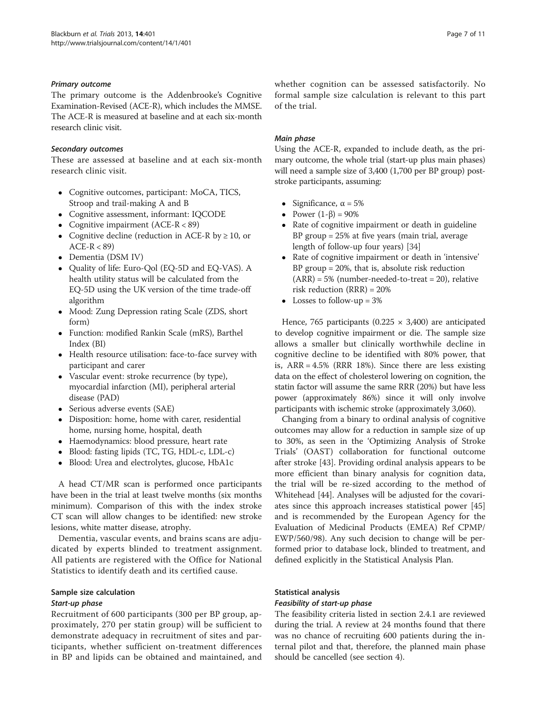### Primary outcome

The primary outcome is the Addenbrooke's Cognitive Examination-Revised (ACE-R), which includes the MMSE. The ACE-R is measured at baseline and at each six-month research clinic visit.

### Secondary outcomes

These are assessed at baseline and at each six-month research clinic visit.

- Cognitive outcomes, participant: MoCA, TICS, Stroop and trail-making A and B
- Cognitive assessment, informant: IQCODE
- Cognitive impairment  $(ACE-R < 89)$
- Cognitive decline (reduction in ACE-R by  $\geq$  10, or  $ACE-R < 89$
- Dementia (DSM IV)
- Quality of life: Euro-Qol (EQ-5D and EQ-VAS). A health utility status will be calculated from the EQ-5D using the UK version of the time trade-off algorithm
- Mood: Zung Depression rating Scale (ZDS, short form)
- Function: modified Rankin Scale (mRS), Barthel Index (BI)
- Health resource utilisation: face-to-face survey with participant and carer
- Vascular event: stroke recurrence (by type), myocardial infarction (MI), peripheral arterial disease (PAD)
- Serious adverse events (SAE)
- Disposition: home, home with carer, residential home, nursing home, hospital, death
- Haemodynamics: blood pressure, heart rate
- Blood: fasting lipids (TC, TG, HDL-c, LDL-c)
- Blood: Urea and electrolytes, glucose, HbA1c

A head CT/MR scan is performed once participants have been in the trial at least twelve months (six months minimum). Comparison of this with the index stroke CT scan will allow changes to be identified: new stroke lesions, white matter disease, atrophy.

Dementia, vascular events, and brains scans are adjudicated by experts blinded to treatment assignment. All patients are registered with the Office for National Statistics to identify death and its certified cause.

# Sample size calculation

# Start-up phase

Recruitment of 600 participants (300 per BP group, approximately, 270 per statin group) will be sufficient to demonstrate adequacy in recruitment of sites and participants, whether sufficient on-treatment differences in BP and lipids can be obtained and maintained, and whether cognition can be assessed satisfactorily. No formal sample size calculation is relevant to this part of the trial.

### Main phase

Using the ACE-R, expanded to include death, as the primary outcome, the whole trial (start-up plus main phases) will need a sample size of 3,400 (1,700 per BP group) poststroke participants, assuming:

- Significance,  $\alpha = 5\%$
- Power  $(1-\beta) = 90\%$
- Rate of cognitive impairment or death in guideline BP group = 25% at five years (main trial, average length of follow-up four years) [\[34\]](#page-10-0)
- Rate of cognitive impairment or death in 'intensive' BP group = 20%, that is, absolute risk reduction  $(ARR) = 5%$  (number-needed-to-treat = 20), relative risk reduction (RRR) = 20%
- Losses to follow-up  $= 3\%$

Hence, 765 participants (0.225  $\times$  3,400) are anticipated to develop cognitive impairment or die. The sample size allows a smaller but clinically worthwhile decline in cognitive decline to be identified with 80% power, that is, ARR = 4.5% (RRR 18%). Since there are less existing data on the effect of cholesterol lowering on cognition, the statin factor will assume the same RRR (20%) but have less power (approximately 86%) since it will only involve participants with ischemic stroke (approximately 3,060).

Changing from a binary to ordinal analysis of cognitive outcomes may allow for a reduction in sample size of up to 30%, as seen in the 'Optimizing Analysis of Stroke Trials' (OAST) collaboration for functional outcome after stroke [\[43](#page-10-0)]. Providing ordinal analysis appears to be more efficient than binary analysis for cognition data, the trial will be re-sized according to the method of Whitehead [[44](#page-10-0)]. Analyses will be adjusted for the covariates since this approach increases statistical power [[45](#page-10-0)] and is recommended by the European Agency for the Evaluation of Medicinal Products (EMEA) Ref CPMP/ EWP/560/98). Any such decision to change will be performed prior to database lock, blinded to treatment, and defined explicitly in the Statistical Analysis Plan.

### Statistical analysis

### Feasibility of start-up phase

The feasibility criteria listed in section 2.4.1 are reviewed during the trial. A review at 24 months found that there was no chance of recruiting 600 patients during the internal pilot and that, therefore, the planned main phase should be cancelled (see section 4).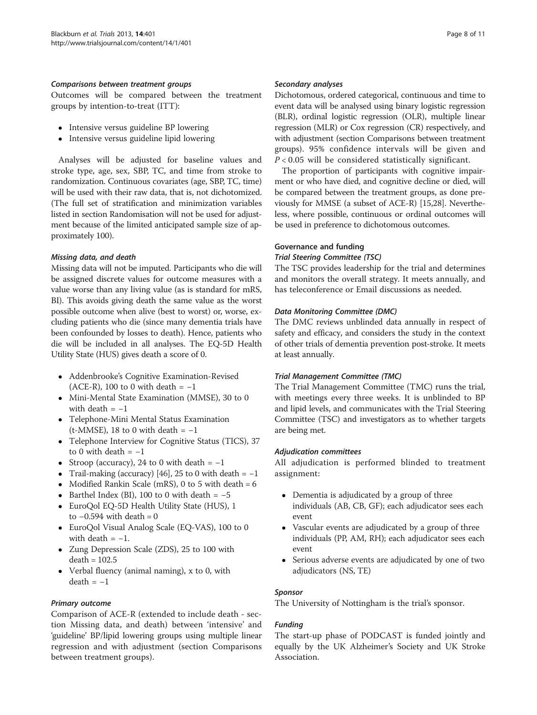### Comparisons between treatment groups

Outcomes will be compared between the treatment groups by intention-to-treat (ITT):

- Intensive versus guideline BP lowering
- Intensive versus guideline lipid lowering

Analyses will be adjusted for baseline values and stroke type, age, sex, SBP, TC, and time from stroke to randomization. Continuous covariates (age, SBP, TC, time) will be used with their raw data, that is, not dichotomized. (The full set of stratification and minimization variables listed in section [Randomisation](#page-3-0) will not be used for adjustment because of the limited anticipated sample size of approximately 100).

### Missing data, and death

Missing data will not be imputed. Participants who die will be assigned discrete values for outcome measures with a value worse than any living value (as is standard for mRS, BI). This avoids giving death the same value as the worst possible outcome when alive (best to worst) or, worse, excluding patients who die (since many dementia trials have been confounded by losses to death). Hence, patients who die will be included in all analyses. The EQ-5D Health Utility State (HUS) gives death a score of 0.

- Addenbrooke's Cognitive Examination-Revised (ACE-R), 100 to 0 with death =  $-1$
- Mini-Mental State Examination (MMSE), 30 to 0 with death  $= -1$
- Telephone-Mini Mental Status Examination (t-MMSE), 18 to 0 with death =  $-1$
- Telephone Interview for Cognitive Status (TICS), 37 to 0 with death =  $-1$
- Stroop (accuracy), 24 to 0 with death =  $-1$
- Trail-making (accuracy) [[46\]](#page-10-0), 25 to 0 with death =  $-1$
- Modified Rankin Scale (mRS), 0 to 5 with death  $= 6$
- Barthel Index (BI), 100 to 0 with death  $= -5$
- EuroQol EQ-5D Health Utility State (HUS), 1 to  $-0.594$  with death = 0
- EuroQol Visual Analog Scale (EQ-VAS), 100 to 0 with death  $= -1$ .
- Zung Depression Scale (ZDS), 25 to 100 with  $death = 102.5$
- Verbal fluency (animal naming), x to 0, with  $death = -1$

# Primary outcome

Comparison of ACE-R (extended to include death - section Missing data, and death) between 'intensive' and 'guideline' BP/lipid lowering groups using multiple linear regression and with adjustment (section Comparisons between treatment groups).

### Secondary analyses

Dichotomous, ordered categorical, continuous and time to event data will be analysed using binary logistic regression (BLR), ordinal logistic regression (OLR), multiple linear regression (MLR) or Cox regression (CR) respectively, and with adjustment (section Comparisons between treatment groups). 95% confidence intervals will be given and  $P < 0.05$  will be considered statistically significant.

The proportion of participants with cognitive impairment or who have died, and cognitive decline or died, will be compared between the treatment groups, as done previously for MMSE (a subset of ACE-R) [[15,28](#page-10-0)]. Nevertheless, where possible, continuous or ordinal outcomes will be used in preference to dichotomous outcomes.

### Governance and funding

### Trial Steering Committee (TSC)

The TSC provides leadership for the trial and determines and monitors the overall strategy. It meets annually, and has teleconference or Email discussions as needed.

### Data Monitoring Committee (DMC)

The DMC reviews unblinded data annually in respect of safety and efficacy, and considers the study in the context of other trials of dementia prevention post-stroke. It meets at least annually.

### Trial Management Committee (TMC)

The Trial Management Committee (TMC) runs the trial, with meetings every three weeks. It is unblinded to BP and lipid levels, and communicates with the Trial Steering Committee (TSC) and investigators as to whether targets are being met.

### Adjudication committees

All adjudication is performed blinded to treatment assignment:

- Dementia is adjudicated by a group of three individuals (AB, CB, GF); each adjudicator sees each event
- Vascular events are adjudicated by a group of three individuals (PP, AM, RH); each adjudicator sees each event
- Serious adverse events are adjudicated by one of two adjudicators (NS, TE)

### Sponsor

The University of Nottingham is the trial's sponsor.

# Funding

The start-up phase of PODCAST is funded jointly and equally by the UK Alzheimer's Society and UK Stroke Association.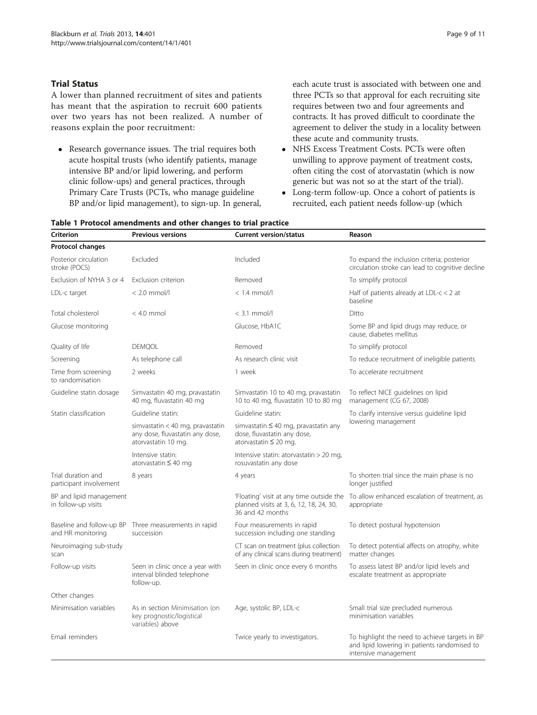# <span id="page-8-0"></span>Trial Status

A lower than planned recruitment of sites and patients has meant that the aspiration to recruit 600 patients over two years has not been realized. A number of reasons explain the poor recruitment:

 Research governance issues. The trial requires both acute hospital trusts (who identify patients, manage intensive BP and/or lipid lowering, and perform clinic follow-ups) and general practices, through Primary Care Trusts (PCTs, who manage guideline BP and/or lipid management), to sign-up. In general, each acute trust is associated with between one and three PCTs so that approval for each recruiting site requires between two and four agreements and contracts. It has proved difficult to coordinate the agreement to deliver the study in a locality between these acute and community trusts.

- NHS Excess Treatment Costs. PCTs were often unwilling to approve payment of treatment costs, often citing the cost of atorvastatin (which is now generic but was not so at the start of the trial).
- Long-term follow-up. Once a cohort of patients is recruited, each patient needs follow-up (which

| Criterion                                      | <b>Previous versions</b>                                                                   | <b>Current version/status</b>                                                                          | Reason                                                                                                                 |
|------------------------------------------------|--------------------------------------------------------------------------------------------|--------------------------------------------------------------------------------------------------------|------------------------------------------------------------------------------------------------------------------------|
| Protocol changes                               |                                                                                            |                                                                                                        |                                                                                                                        |
| Posterior circulation<br>stroke (POCS)         | Excluded                                                                                   | Included                                                                                               | To expand the inclusion criteria; posterior<br>circulation stroke can lead to cognitive decline                        |
| Exclusion of NYHA 3 or 4                       | Exclusion criterion                                                                        | Removed                                                                                                | To simplify protocol                                                                                                   |
| LDL-c target                                   | $< 2.0$ mmol/l                                                                             | $<$ 1.4 mmol/l                                                                                         | Half of patients already at LDL- $c < 2$ at<br>baseline                                                                |
| Total cholesterol                              | $< 4.0$ mmol                                                                               | $<$ 3.1 mmol/l                                                                                         | Ditto                                                                                                                  |
| Glucose monitoring                             |                                                                                            | Glucose, HbA1C                                                                                         | Some BP and lipid drugs may reduce, or<br>cause, diabetes mellitus                                                     |
| Quality of life                                | <b>DEMOOL</b>                                                                              | Removed                                                                                                | To simplify protocol                                                                                                   |
| Screening                                      | As telephone call                                                                          | As research clinic visit                                                                               | To reduce recruitment of ineligible patients                                                                           |
| Time from screening<br>to randomisation        | 2 weeks                                                                                    | 1 week                                                                                                 | To accelerate recruitment                                                                                              |
| Guideline statin dosage                        | Simvastatin 40 mg, pravastatin<br>40 mg, fluvastatin 40 mg                                 | Simvastatin 10 to 40 mg, pravastatin<br>10 to 40 mg, fluvastatin 10 to 80 mg                           | To reflect NICE guidelines on lipid<br>management (CG 67, 2008)                                                        |
| Statin classification                          | Guideline statin:                                                                          | Guideline statin:                                                                                      | To clarify intensive versus guideline lipid<br>lowering management                                                     |
|                                                | simvastatin < 40 mg, pravastatin<br>any dose, fluvastatin any dose,<br>atorvastatin 10 mg. | simvastatin $\leq 40$ mg, pravastatin any<br>dose, fluvastatin any dose,<br>atorvastatin $\leq 20$ mg. |                                                                                                                        |
|                                                | Intensive statin:<br>atorvastatin $\leq 40$ mg                                             | Intensive statin: atorvastatin $>$ 20 mg,<br>rosuvastatin any dose                                     |                                                                                                                        |
| Trial duration and<br>participant involvement  | 8 years                                                                                    | 4 years                                                                                                | To shorten trial since the main phase is no<br>longer justified                                                        |
| BP and lipid management<br>in follow-up visits |                                                                                            | planned visits at 3, 6, 12, 18, 24, 30,<br>36 and 42 months                                            | 'Floating' visit at any time outside the To allow enhanced escalation of treatment, as<br>appropriate                  |
| and HR monitoring                              | Baseline and follow-up BP Three measurements in rapid<br>succession                        | Four measurements in rapid<br>succession including one standing                                        | To detect postural hypotension                                                                                         |
| Neuroimaging sub-study<br>scan                 |                                                                                            | CT scan on treatment (plus collection<br>of any clinical scans during treatment)                       | To detect potential affects on atrophy, white<br>matter changes                                                        |
| Follow-up visits                               | Seen in clinic once a year with<br>interval blinded telephone<br>follow-up.                | Seen in clinic once every 6 months                                                                     | To assess latest BP and/or lipid levels and<br>escalate treatment as appropriate                                       |
| Other changes                                  |                                                                                            |                                                                                                        |                                                                                                                        |
| Minimisation variables                         | As in section Minimisation (on<br>key prognostic/logistical<br>variables) above            | Age, systolic BP, LDL-c                                                                                | Small trial size precluded numerous<br>minimisation variables                                                          |
| Email reminders                                |                                                                                            | Twice yearly to investigators.                                                                         | To highlight the need to achieve targets in BP<br>and lipid lowering in patients randomised to<br>intensive management |

# Table 1 Protocol amendments and other changes to trial practice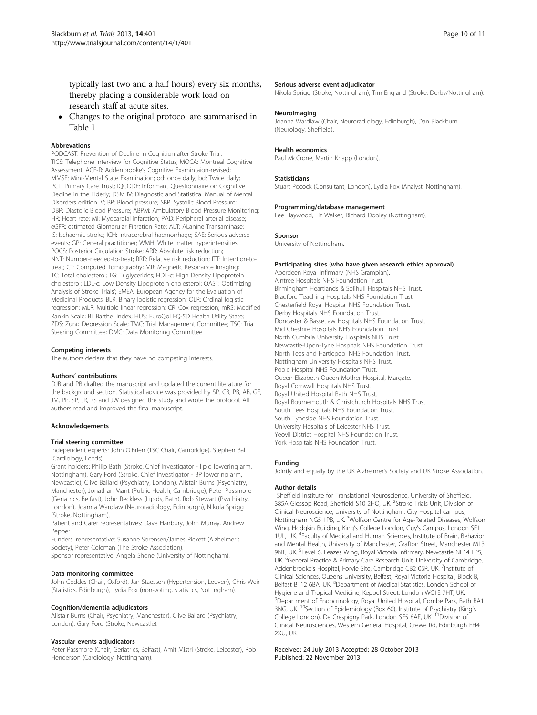typically last two and a half hours) every six months, thereby placing a considerable work load on research staff at acute sites.

 Changes to the original protocol are summarised in Table [1](#page-8-0)

### **Abbrevations**

PODCAST: Prevention of Decline in Cognition after Stroke Trial: TICS: Telephone Interview for Cognitive Status; MOCA: Montreal Cognitive Assessment; ACE-R: Addenbrooke's Cognitive Examintaion-revised; MMSE: Mini-Mental State Examination; od: once daily; bd: Twice daily; PCT: Primary Care Trust; IQCODE: Informant Questionnaire on Cognitive Decline in the Elderly; DSM IV: Diagnostic and Statistical Manual of Mental Disorders edition IV; BP: Blood pressure; SBP: Systolic Blood Pressure; DBP: Diastolic Blood Pressure; ABPM: Ambulatory Blood Pressure Monitoring; HR: Heart rate; MI: Myocardial infarction; PAD: Peripheral arterial disease; eGFR: estimated Glomerular Filtration Rate; ALT: ALanine Transaminase; IS: Ischaemic stroke; ICH: Intracerebral haemorrhage; SAE: Serious adverse events; GP: General practitioner; WMH: White matter hyperintensities; POCS: Posterior Circulation Stroke; ARR: Absolute risk reduction; NNT: Number-needed-to-treat; RRR: Relative risk reduction; ITT: Intention-totreat; CT: Computed Tomography; MR: Magnetic Resonance imaging; TC: Total cholesterol; TG: Triglycerides; HDL-c: High Density Lipoprotein cholesterol; LDL-c: Low Density Lipoprotein cholesterol; OAST: Optimizing Analysis of Stroke Trials'; EMEA: European Agency for the Evaluation of Medicinal Products; BLR: Binary logistic regression; OLR: Ordinal logistic regression; MLR: Multiple linear regression; CR: Cox regression; mRS: Modified Rankin Scale; BI: Barthel Index; HUS: EuroQol EQ-5D Health Utility State; ZDS: Zung Depression Scale; TMC: Trial Management Committee; TSC: Trial Steering Committee; DMC: Data Monitoring Committee.

### Competing interests

The authors declare that they have no competing interests.

### Authors' contributions

DJB and PB drafted the manuscript and updated the current literature for the background section. Statistical advice was provided by SP. CB, PB, AB, GF, JM, PP, SP, JR, RS and JW designed the study and wrote the protocol. All authors read and improved the final manuscript.

### Acknowledgements

### Trial steering committee

Independent experts: John O'Brien (TSC Chair, Cambridge), Stephen Ball (Cardiology, Leeds).

Grant holders: Philip Bath (Stroke, Chief Investigator - lipid lowering arm, Nottingham), Gary Ford (Stroke, Chief Investigator - BP lowering arm, Newcastle), Clive Ballard (Psychiatry, London), Alistair Burns (Psychiatry, Manchester), Jonathan Mant (Public Health, Cambridge), Peter Passmore (Geriatrics, Belfast), John Reckless (Lipids, Bath), Rob Stewart (Psychiatry, London), Joanna Wardlaw (Neuroradiology, Edinburgh), Nikola Sprigg (Stroke, Nottingham).

Patient and Carer representatives: Dave Hanbury, John Murray, Andrew Pepper

Funders' representative: Susanne Sorensen/James Pickett (Alzheimer's Society), Peter Coleman (The Stroke Association).

Sponsor representative: Angela Shone (University of Nottingham).

### Data monitoring committee

John Geddes (Chair, Oxford), Jan Staessen (Hypertension, Leuven), Chris Weir (Statistics, Edinburgh), Lydia Fox (non-voting, statistics, Nottingham).

### Cognition/dementia adjudicators

Alistair Burns (Chair, Psychiatry, Manchester), Clive Ballard (Psychiatry, London), Gary Ford (Stroke, Newcastle).

### Vascular events adjudicators

Peter Passmore (Chair, Geriatrics, Belfast), Amit Mistri (Stroke, Leicester), Rob Henderson (Cardiology, Nottingham).

### Serious adverse event adjudicator

Nikola Sprigg (Stroke, Nottingham), Tim England (Stroke, Derby/Nottingham).

#### **Neuroimaging**

Joanna Wardlaw (Chair, Neuroradiology, Edinburgh), Dan Blackburn (Neurology, Sheffield).

### Health economics

Paul McCrone, Martin Knapp (London).

# Statisticians

Stuart Pocock (Consultant, London), Lydia Fox (Analyst, Nottingham).

# Programming/database management

Lee Haywood, Liz Walker, Richard Dooley (Nottingham).

### Sponsor

University of Nottingham.

### Participating sites (who have given research ethics approval)

Aberdeen Royal Infirmary (NHS Grampian). Aintree Hospitals NHS Foundation Trust. Birmingham Heartlands & Solihull Hospitals NHS Trust. Bradford Teaching Hospitals NHS Foundation Trust. Chesterfield Royal Hospital NHS Foundation Trust. Derby Hospitals NHS Foundation Trust. Doncaster & Bassetlaw Hospitals NHS Foundation Trust. Mid Cheshire Hospitals NHS Foundation Trust. North Cumbria University Hospitals NHS Trust. Newcastle-Upon-Tyne Hospitals NHS Foundation Trust. North Tees and Hartlepool NHS Foundation Trust. Nottingham University Hospitals NHS Trust. Poole Hospital NHS Foundation Trust. Queen Elizabeth Queen Mother Hospital, Margate. Royal Cornwall Hospitals NHS Trust. Royal United Hospital Bath NHS Trust. Royal Bournemouth & Christchurch Hospitals NHS Trust. South Tees Hospitals NHS Foundation Trust. South Tyneside NHS Foundation Trust. University Hospitals of Leicester NHS Trust. Yeovil District Hospital NHS Foundation Trust. York Hospitals NHS Foundation Trust.

### Funding

Jointly and equally by the UK Alzheimer's Society and UK Stroke Association.

#### Author details

<sup>1</sup>Sheffield Institute for Translational Neuroscience, University of Sheffield 385A Glossop Road, Sheffield S10 2HQ, UK. <sup>2</sup>Stroke Trials Unit, Division of Clinical Neuroscience, University of Nottingham, City Hospital campus, Nottingham NG5 1PB, UK. <sup>3</sup>Wolfson Centre for Age-Related Diseases, Wolfson Wing, Hodgkin Building, King's College London, Guy's Campus, London SE1 1UL, UK. <sup>4</sup> Faculty of Medical and Human Sciences, Institute of Brain, Behavior and Mental Health, University of Manchester, Grafton Street, Manchester M13 9NT, UK. <sup>5</sup>Level 6, Leazes Wing, Royal Victoria Infirmary, Newcastle NE14 LP5 UK. <sup>6</sup>General Practice & Primary Care Research Unit, University of Cambridge Addenbrooke's Hospital, Forvie Site, Cambridge CB2 0SR, UK. <sup>7</sup>Institute of Clinical Sciences, Queens University, Belfast, Royal Victoria Hospital, Block B, Belfast BT12 6BA, UK. <sup>8</sup>Department of Medical Statistics, London School of Hygiene and Tropical Medicine, Keppel Street, London WC1E 7HT, UK. <sup>9</sup>Department of Endocrinology, Royal United Hospital, Combe Park, Bath BA1 3NG, UK. 10Section of Epidemiology (Box 60), Institute of Psychiatry (King's College London), De Crespigny Park, London SE5 8AF, UK. <sup>11</sup>Division of Clinical Neurosciences, Western General Hospital, Crewe Rd, Edinburgh EH4 2XU, UK.

### Received: 24 July 2013 Accepted: 28 October 2013 Published: 22 November 2013